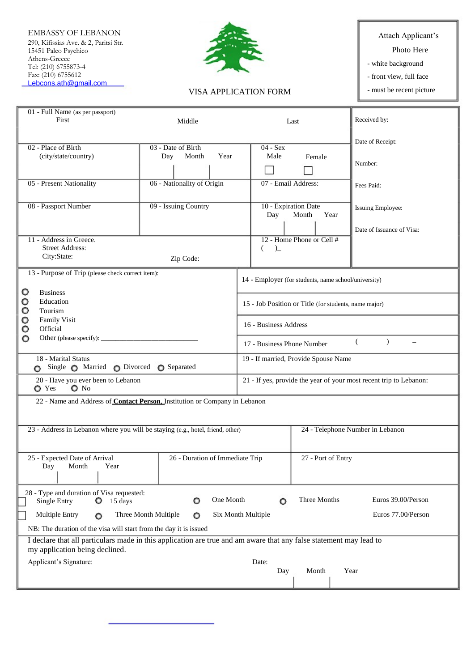290, Kifissias Ave. & 2, Paritsi Str. 15451 Paleo Psychico Athens-Greece<sup>7</sup> Tel: (210) 6755873-4 Fax: (210) 6755612 Lebcons.ath@gmail.com EMBASSY OF LEBANON Attach Applicant's



## VISA APPLICATION FORM

Photo Here

- white background

- front view, full face

- must be recent picture

| 01 - Full Name (as per passport)<br>First                                                                                                            | Middle                                               |                                                                    | Last                                  | Received by:              |
|------------------------------------------------------------------------------------------------------------------------------------------------------|------------------------------------------------------|--------------------------------------------------------------------|---------------------------------------|---------------------------|
|                                                                                                                                                      |                                                      |                                                                    |                                       |                           |
| 02 - Place of Birth                                                                                                                                  | 03 - Date of Birth                                   | $04 - Sex$                                                         |                                       | Date of Receipt:          |
| (city/state/country)                                                                                                                                 | Month<br>Year<br>Day                                 | Male                                                               | Female                                | Number:                   |
| 05 - Present Nationality                                                                                                                             | 06 - Nationality of Origin                           | 07 - Email Address:                                                |                                       | Fees Paid:                |
| 08 - Passport Number                                                                                                                                 | 09 - Issuing Country                                 | Day                                                                | 10 - Expiration Date<br>Month<br>Year | Issuing Employee:         |
|                                                                                                                                                      |                                                      |                                                                    |                                       | Date of Issuance of Visa: |
| 11 - Address in Greece.<br><b>Street Address:</b>                                                                                                    |                                                      | )<br>€                                                             | 12 - Home Phone or Cell #             |                           |
| City:State:                                                                                                                                          | Zip Code:                                            |                                                                    |                                       |                           |
| 13 - Purpose of Trip (please check correct item):                                                                                                    |                                                      |                                                                    |                                       |                           |
|                                                                                                                                                      | 14 - Employer (for students, name school/university) |                                                                    |                                       |                           |
| <b>Business</b><br>O<br>Education<br>O                                                                                                               |                                                      | 15 - Job Position or Title (for students, name major)              |                                       |                           |
| O<br>Tourism                                                                                                                                         |                                                      |                                                                    |                                       |                           |
| O<br><b>Family Visit</b><br>Official<br>o                                                                                                            |                                                      | 16 - Business Address                                              |                                       |                           |
| o                                                                                                                                                    |                                                      | $\lambda$<br>€<br>17 - Business Phone Number                       |                                       |                           |
|                                                                                                                                                      |                                                      |                                                                    |                                       |                           |
| 18 - Marital Status<br>Single $\bigcirc$ Married $\bigcirc$ Divorced $\bigcirc$ Separated                                                            |                                                      | 19 - If married, Provide Spouse Name                               |                                       |                           |
| 20 - Have you ever been to Lebanon<br>$\bullet$ No<br><b>O</b> Yes                                                                                   |                                                      | 21 - If yes, provide the year of your most recent trip to Lebanon: |                                       |                           |
| 22 - Name and Address of Contact Person, Institution or Company in Lebanon                                                                           |                                                      |                                                                    |                                       |                           |
| 23 - Address in Lebanon where you will be staying (e.g., hotel, friend, other)                                                                       |                                                      |                                                                    | 24 - Telephone Number in Lebanon      |                           |
|                                                                                                                                                      |                                                      |                                                                    |                                       |                           |
| 25 - Expected Date of Arrival<br>Day<br>Month<br>Year                                                                                                | 26 - Duration of Immediate Trip                      |                                                                    | 27 - Port of Entry                    |                           |
| 28 - Type and duration of Visa requested:<br>Single Entry<br>15 days<br>O                                                                            | One Month<br>o                                       | o                                                                  | Three Months                          | Euros 39.00/Person        |
| Multiple Entry<br>O                                                                                                                                  | Three Month Multiple<br>O                            | Six Month Multiple                                                 |                                       | Euros 77.00/Person        |
| NB: The duration of the visa will start from the day it is issued                                                                                    |                                                      |                                                                    |                                       |                           |
| I declare that all particulars made in this application are true and am aware that any false statement may lead to<br>my application being declined. |                                                      |                                                                    |                                       |                           |
| Applicant's Signature:<br>Date:                                                                                                                      |                                                      |                                                                    |                                       |                           |
| Day<br>Month<br>Year                                                                                                                                 |                                                      |                                                                    |                                       |                           |
|                                                                                                                                                      |                                                      |                                                                    |                                       |                           |